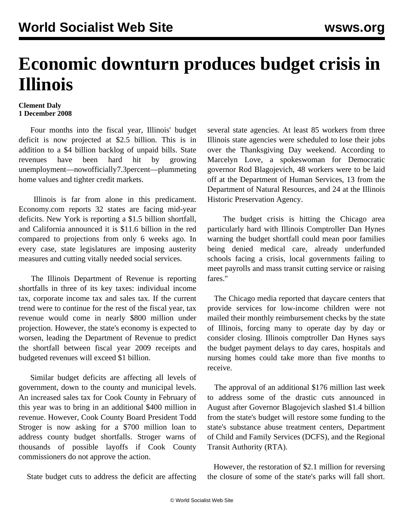## **Economic downturn produces budget crisis in Illinois**

## **Clement Daly 1 December 2008**

 Four months into the fiscal year, Illinois' budget deficit is now projected at \$2.5 billion. This is in addition to a \$4 billion backlog of unpaid bills. State revenues have been hard hit by growing unemployment—now officially 7.3 percent—plummeting home values and tighter credit markets.

 Illinois is far from alone in this predicament. Economy.com reports 32 states are facing mid-year deficits. New York is reporting a \$1.5 billion shortfall, and California announced it is \$11.6 billion in the red compared to projections from only 6 weeks ago. In every case, state legislatures are imposing austerity measures and cutting vitally needed social services.

 The Illinois Department of Revenue is reporting shortfalls in three of its key taxes: individual income tax, corporate income tax and sales tax. If the current trend were to continue for the rest of the fiscal year, tax revenue would come in nearly \$800 million under projection. However, the state's economy is expected to worsen, leading the Department of Revenue to predict the shortfall between fiscal year 2009 receipts and budgeted revenues will exceed \$1 billion.

 Similar budget deficits are affecting all levels of government, down to the county and municipal levels. An increased sales tax for Cook County in February of this year was to bring in an additional \$400 million in revenue. However, Cook County Board President Todd Stroger is now asking for a \$700 million loan to address county budget shortfalls. Stroger warns of thousands of possible layoffs if Cook County commissioners do not approve the action.

State budget cuts to address the deficit are affecting

several state agencies. At least 85 workers from three Illinois state agencies were scheduled to lose their jobs over the Thanksgiving Day weekend. According to Marcelyn Love, a spokeswoman for Democratic governor Rod Blagojevich, 48 workers were to be laid off at the Department of Human Services, 13 from the Department of Natural Resources, and 24 at the Illinois Historic Preservation Agency.

 The budget crisis is hitting the Chicago area particularly hard with Illinois Comptroller Dan Hynes warning the budget shortfall could mean poor families being denied medical care, already underfunded schools facing a crisis, local governments failing to meet payrolls and mass transit cutting service or raising fares."

 The Chicago media reported that daycare centers that provide services for low-income children were not mailed their monthly reimbursement checks by the state of Illinois, forcing many to operate day by day or consider closing. Illinois comptroller Dan Hynes says the budget payment delays to day cares, hospitals and nursing homes could take more than five months to receive.

 The approval of an additional \$176 million last week to address some of the drastic cuts announced in August after Governor Blagojevich slashed \$1.4 billion from the state's budget will restore some funding to the state's substance abuse treatment centers, Department of Child and Family Services (DCFS), and the Regional Transit Authority (RTA).

 However, the restoration of \$2.1 million for reversing the closure of some of the state's parks will fall short.